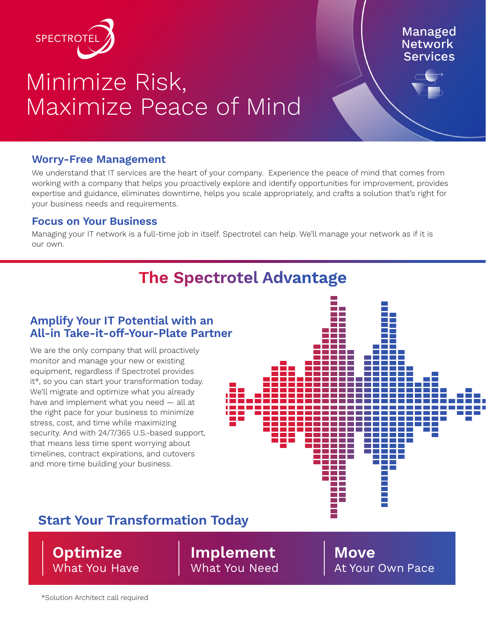

# Minimize Risk, Maximize Peace of Mind

#### **Managed Network Services**

#### **Worry-Free Management**

We understand that IT services are the heart of your company. Experience the peace of mind that comes from working with a company that helps you proactively explore and identify opportunities for improvement, provides expertise and guidance, eliminates downtime, helps you scale appropriately, and crafts a solution that's right for your business needs and requirements.

#### **Focus on Your Business**

Managing your IT network is a full-time job in itself. Spectrotel can help. We'll manage your network as if it is our own.

## **The Spectrotel Advantage**

#### **Amplify Your IT Potential with an All-in Take-it-off-Your-Plate Partner**

We are the only company that will proactively monitor and manage your new or existing equipment, regardless if Spectrotel provides it\*, so you can start your transformation today. We'll migrate and optimize what you already have and implement what you need — all at the right pace for your business to minimize stress, cost, and time while maximizing security. And with 24/7/365 U.S.-based support, that means less time spent worrying about timelines, contract expirations, and cutovers and more time building your business.



## **Start Your Transformation Today**

**Optimize** What You Have **Implement** What You Need **Move** At Your Own Pace